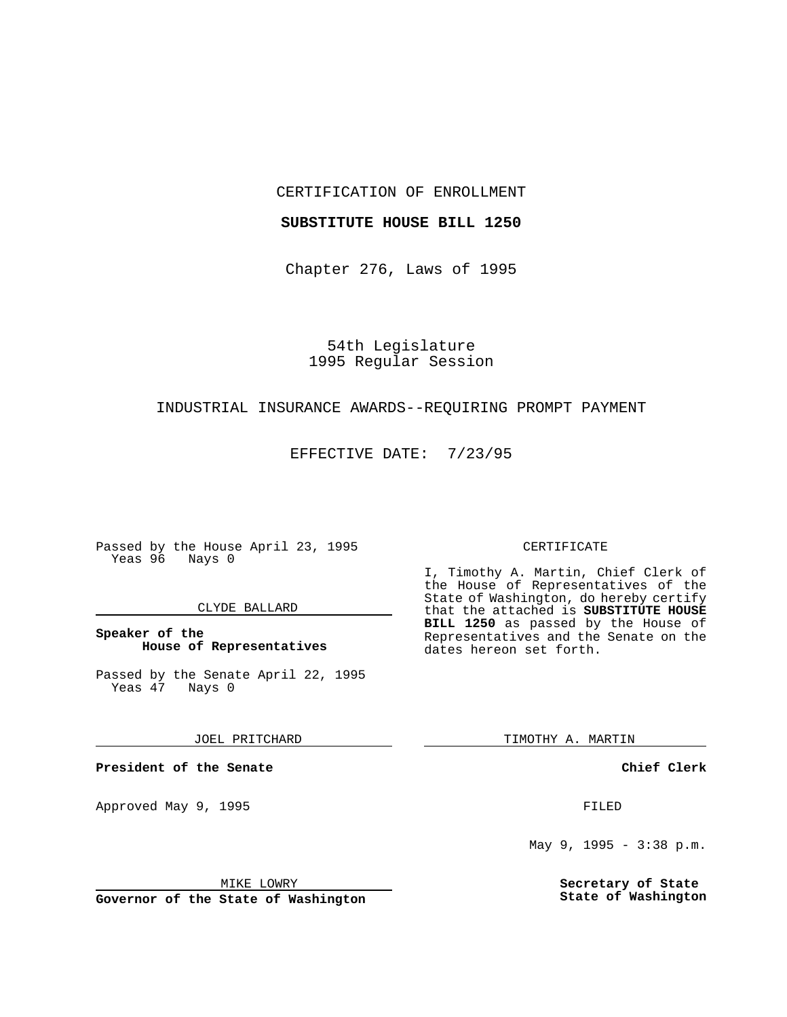## CERTIFICATION OF ENROLLMENT

#### **SUBSTITUTE HOUSE BILL 1250**

Chapter 276, Laws of 1995

54th Legislature 1995 Regular Session

# INDUSTRIAL INSURANCE AWARDS--REQUIRING PROMPT PAYMENT

EFFECTIVE DATE: 7/23/95

Passed by the House April 23, 1995 Yeas 96 Nays 0

## CLYDE BALLARD

# **Speaker of the House of Representatives**

Passed by the Senate April 22, 1995<br>Yeas 47 Nays 0 Yeas 47

JOEL PRITCHARD

**President of the Senate**

Approved May 9, 1995 **FILED** 

MIKE LOWRY

**Governor of the State of Washington**

#### CERTIFICATE

I, Timothy A. Martin, Chief Clerk of the House of Representatives of the State of Washington, do hereby certify that the attached is **SUBSTITUTE HOUSE BILL 1250** as passed by the House of Representatives and the Senate on the dates hereon set forth.

TIMOTHY A. MARTIN

**Chief Clerk**

May 9, 1995 - 3:38 p.m.

**Secretary of State State of Washington**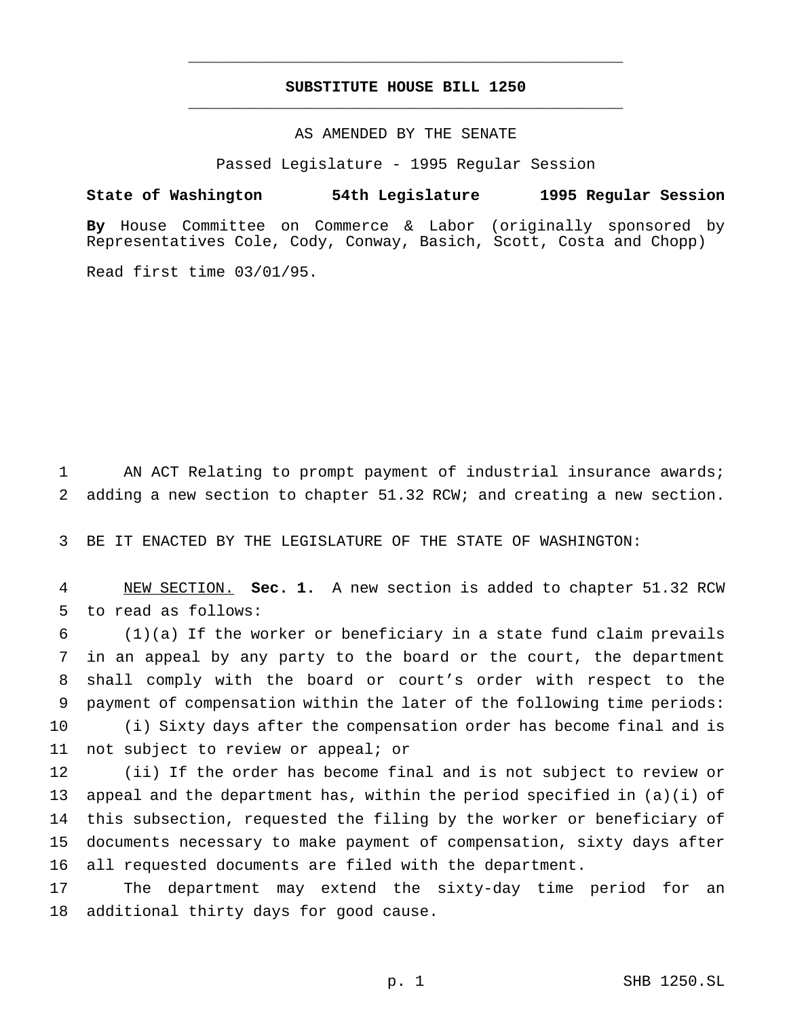# **SUBSTITUTE HOUSE BILL 1250** \_\_\_\_\_\_\_\_\_\_\_\_\_\_\_\_\_\_\_\_\_\_\_\_\_\_\_\_\_\_\_\_\_\_\_\_\_\_\_\_\_\_\_\_\_\_\_

\_\_\_\_\_\_\_\_\_\_\_\_\_\_\_\_\_\_\_\_\_\_\_\_\_\_\_\_\_\_\_\_\_\_\_\_\_\_\_\_\_\_\_\_\_\_\_

# AS AMENDED BY THE SENATE

Passed Legislature - 1995 Regular Session

### **State of Washington 54th Legislature 1995 Regular Session**

**By** House Committee on Commerce & Labor (originally sponsored by Representatives Cole, Cody, Conway, Basich, Scott, Costa and Chopp)

Read first time 03/01/95.

 AN ACT Relating to prompt payment of industrial insurance awards; adding a new section to chapter 51.32 RCW; and creating a new section.

BE IT ENACTED BY THE LEGISLATURE OF THE STATE OF WASHINGTON:

 NEW SECTION. **Sec. 1.** A new section is added to chapter 51.32 RCW to read as follows:

 (1)(a) If the worker or beneficiary in a state fund claim prevails in an appeal by any party to the board or the court, the department shall comply with the board or court's order with respect to the payment of compensation within the later of the following time periods: (i) Sixty days after the compensation order has become final and is not subject to review or appeal; or

 (ii) If the order has become final and is not subject to review or 13 appeal and the department has, within the period specified in  $(a)(i)$  of this subsection, requested the filing by the worker or beneficiary of documents necessary to make payment of compensation, sixty days after all requested documents are filed with the department.

 The department may extend the sixty-day time period for an additional thirty days for good cause.